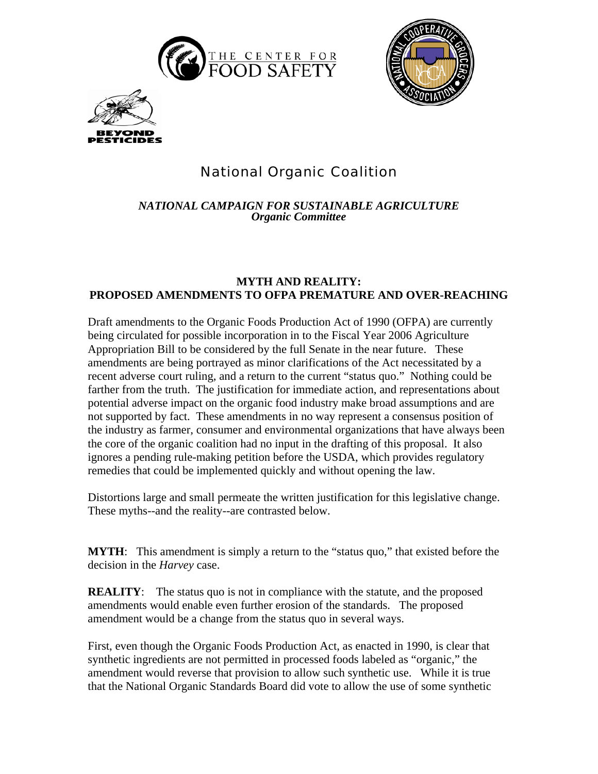





## National Organic Coalition

*NATIONAL CAMPAIGN FOR SUSTAINABLE AGRICULTURE Organic Committee* 

## **MYTH AND REALITY: PROPOSED AMENDMENTS TO OFPA PREMATURE AND OVER-REACHING**

Draft amendments to the Organic Foods Production Act of 1990 (OFPA) are currently being circulated for possible incorporation in to the Fiscal Year 2006 Agriculture Appropriation Bill to be considered by the full Senate in the near future. These amendments are being portrayed as minor clarifications of the Act necessitated by a recent adverse court ruling, and a return to the current "status quo." Nothing could be farther from the truth. The justification for immediate action, and representations about potential adverse impact on the organic food industry make broad assumptions and are not supported by fact. These amendments in no way represent a consensus position of the industry as farmer, consumer and environmental organizations that have always been the core of the organic coalition had no input in the drafting of this proposal. It also ignores a pending rule-making petition before the USDA, which provides regulatory remedies that could be implemented quickly and without opening the law.

Distortions large and small permeate the written justification for this legislative change. These myths--and the reality--are contrasted below.

**MYTH:** This amendment is simply a return to the "status quo," that existed before the decision in the *Harvey* case.

**REALITY:** The status quo is not in compliance with the statute, and the proposed amendments would enable even further erosion of the standards. The proposed amendment would be a change from the status quo in several ways.

First, even though the Organic Foods Production Act, as enacted in 1990, is clear that synthetic ingredients are not permitted in processed foods labeled as "organic," the amendment would reverse that provision to allow such synthetic use. While it is true that the National Organic Standards Board did vote to allow the use of some synthetic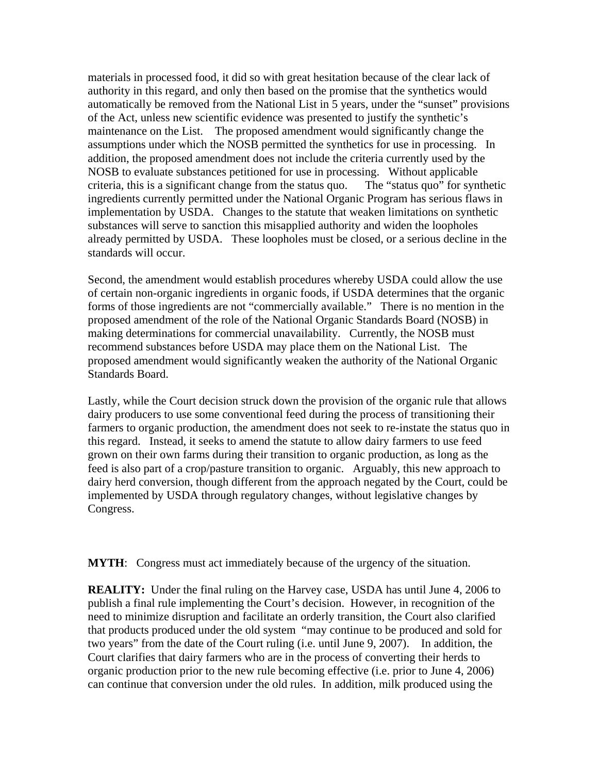materials in processed food, it did so with great hesitation because of the clear lack of authority in this regard, and only then based on the promise that the synthetics would automatically be removed from the National List in 5 years, under the "sunset" provisions of the Act, unless new scientific evidence was presented to justify the synthetic's maintenance on the List. The proposed amendment would significantly change the assumptions under which the NOSB permitted the synthetics for use in processing. In addition, the proposed amendment does not include the criteria currently used by the NOSB to evaluate substances petitioned for use in processing. Without applicable criteria, this is a significant change from the status quo. The "status quo" for synthetic ingredients currently permitted under the National Organic Program has serious flaws in implementation by USDA. Changes to the statute that weaken limitations on synthetic substances will serve to sanction this misapplied authority and widen the loopholes already permitted by USDA. These loopholes must be closed, or a serious decline in the standards will occur.

Second, the amendment would establish procedures whereby USDA could allow the use of certain non-organic ingredients in organic foods, if USDA determines that the organic forms of those ingredients are not "commercially available." There is no mention in the proposed amendment of the role of the National Organic Standards Board (NOSB) in making determinations for commercial unavailability. Currently, the NOSB must recommend substances before USDA may place them on the National List. The proposed amendment would significantly weaken the authority of the National Organic Standards Board.

Lastly, while the Court decision struck down the provision of the organic rule that allows dairy producers to use some conventional feed during the process of transitioning their farmers to organic production, the amendment does not seek to re-instate the status quo in this regard. Instead, it seeks to amend the statute to allow dairy farmers to use feed grown on their own farms during their transition to organic production, as long as the feed is also part of a crop/pasture transition to organic. Arguably, this new approach to dairy herd conversion, though different from the approach negated by the Court, could be implemented by USDA through regulatory changes, without legislative changes by Congress.

**MYTH**: Congress must act immediately because of the urgency of the situation.

**REALITY:** Under the final ruling on the Harvey case, USDA has until June 4, 2006 to publish a final rule implementing the Court's decision. However, in recognition of the need to minimize disruption and facilitate an orderly transition, the Court also clarified that products produced under the old system "may continue to be produced and sold for two years" from the date of the Court ruling (i.e. until June 9, 2007). In addition, the Court clarifies that dairy farmers who are in the process of converting their herds to organic production prior to the new rule becoming effective (i.e. prior to June 4, 2006) can continue that conversion under the old rules. In addition, milk produced using the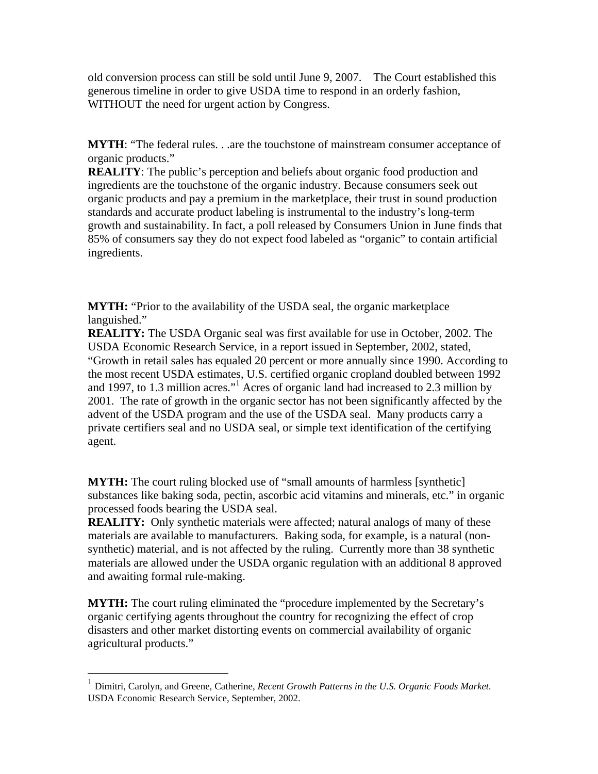old conversion process can still be sold until June 9, 2007. The Court established this generous timeline in order to give USDA time to respond in an orderly fashion, WITHOUT the need for urgent action by Congress.

**MYTH:** "The federal rules. . .are the touchstone of mainstream consumer acceptance of organic products."

**REALITY:** The public's perception and beliefs about organic food production and ingredients are the touchstone of the organic industry. Because consumers seek out organic products and pay a premium in the marketplace, their trust in sound production standards and accurate product labeling is instrumental to the industry's long-term growth and sustainability. In fact, a poll released by Consumers Union in June finds that 85% of consumers say they do not expect food labeled as "organic" to contain artificial ingredients.

**MYTH:** "Prior to the availability of the USDA seal, the organic marketplace languished."

**REALITY:** The USDA Organic seal was first available for use in October, 2002. The USDA Economic Research Service, in a report issued in September, 2002, stated, "Growth in retail sales has equaled 20 percent or more annually since 1990. According to the most recent USDA estimates, U.S. certified organic cropland doubled between 1992 and1997, to 1.3 million acres."<sup>1</sup> Acres of organic land had increased to 2.3 million by 2001. The rate of growth in the organic sector has not been significantly affected by the advent of the USDA program and the use of the USDA seal. Many products carry a private certifiers seal and no USDA seal, or simple text identification of the certifying agent.

**MYTH:** The court ruling blocked use of "small amounts of harmless [synthetic] substances like baking soda, pectin, ascorbic acid vitamins and minerals, etc." in organic processed foods bearing the USDA seal.

**REALITY:** Only synthetic materials were affected; natural analogs of many of these materials are available to manufacturers. Baking soda, for example, is a natural (nonsynthetic) material, and is not affected by the ruling. Currently more than 38 synthetic materials are allowed under the USDA organic regulation with an additional 8 approved and awaiting formal rule-making.

**MYTH:** The court ruling eliminated the "procedure implemented by the Secretary's organic certifying agents throughout the country for recognizing the effect of crop disasters and other market distorting events on commercial availability of organic agricultural products."

1

<span id="page-2-0"></span><sup>1</sup> Dimitri, Carolyn, and Greene, Catherine, *Recent Growth Patterns in the U.S. Organic Foods Market.* USDA Economic Research Service, September, 2002.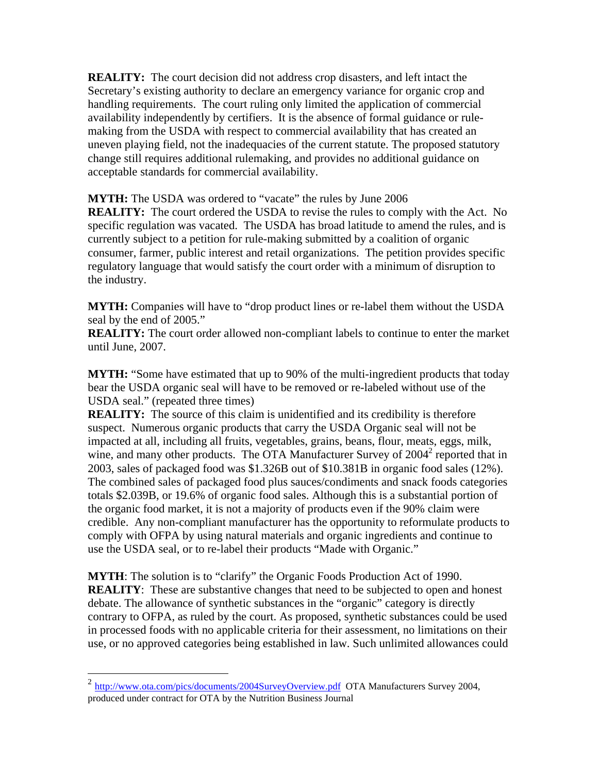**REALITY:** The court decision did not address crop disasters, and left intact the Secretary's existing authority to declare an emergency variance for organic crop and handling requirements. The court ruling only limited the application of commercial availability independently by certifiers. It is the absence of formal guidance or rulemaking from the USDA with respect to commercial availability that has created an uneven playing field, not the inadequacies of the current statute. The proposed statutory change still requires additional rulemaking, and provides no additional guidance on acceptable standards for commercial availability.

**MYTH:** The USDA was ordered to "vacate" the rules by June 2006

**REALITY:** The court ordered the USDA to revise the rules to comply with the Act. No specific regulation was vacated. The USDA has broad latitude to amend the rules, and is currently subject to a petition for rule-making submitted by a coalition of organic consumer, farmer, public interest and retail organizations. The petition provides specific regulatory language that would satisfy the court order with a minimum of disruption to the industry.

**MYTH:** Companies will have to "drop product lines or re-label them without the USDA seal by the end of 2005."

**REALITY:** The court order allowed non-compliant labels to continue to enter the market until June, 2007.

**MYTH:** "Some have estimated that up to 90% of the multi-ingredient products that today bear the USDA organic seal will have to be removed or re-labeled without use of the USDA seal." (repeated three times)

**REALITY:** The source of this claim is unidentified and its credibility is therefore suspect. Numerous organic products that carry the USDA Organic seal will not be impacted at all, including all fruits, vegetables, grains, beans, flour, meats, eggs, milk, wine, and many other products. The OTA Manufacturer Survey of 2004<sup>2</sup> reported that in 2003, sales of packaged food was \$1.326B out of \$10.381B in organic food sales (12%). The combined sales of packaged food plus sauces/condiments and snack foods categories totals \$2.039B, or 19.6% of organic food sales. Although this is a substantial portion of the organic food market, it is not a majority of products even if the 90% claim were credible. Any non-compliant manufacturer has the opportunity to reformulate products to comply with OFPA by using natural materials and organic ingredients and continue to use the USDA seal, or to re-label their products "Made with Organic."

**MYTH**: The solution is to "clarify" the Organic Foods Production Act of 1990. **REALITY:** These are substantive changes that need to be subjected to open and honest debate. The allowance of synthetic substances in the "organic" category is directly contrary to OFPA, as ruled by the court. As proposed, synthetic substances could be used in processed foods with no applicable criteria for their assessment, no limitations on their use, or no approved categories being established in law. Such unlimited allowances could

 $\overline{a}$ 

<span id="page-3-0"></span><sup>&</sup>lt;sup>2</sup> <http://www.ota.com/pics/documents/2004SurveyOverview.pdf> OTA Manufacturers Survey 2004, produced under contract for OTA by the Nutrition Business Journal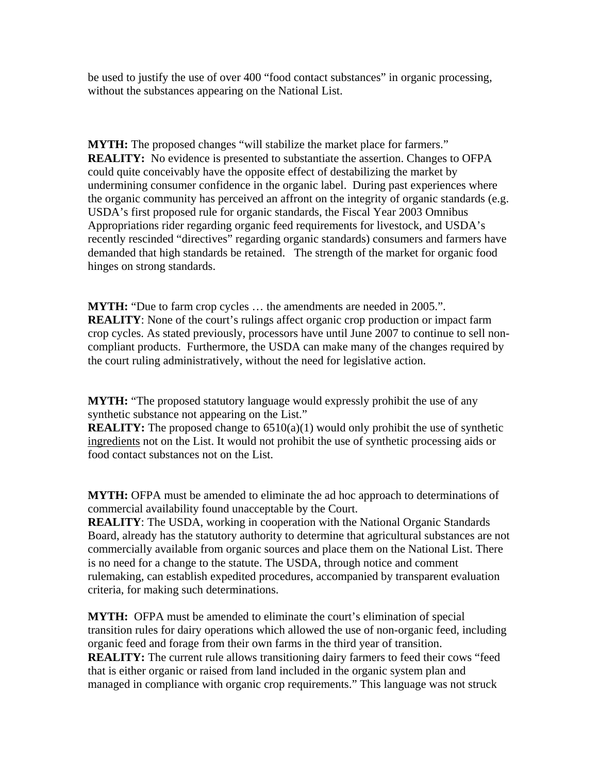be used to justify the use of over 400 "food contact substances" in organic processing, without the substances appearing on the National List.

**MYTH:** The proposed changes "will stabilize the market place for farmers." **REALITY:** No evidence is presented to substantiate the assertion. Changes to OFPA could quite conceivably have the opposite effect of destabilizing the market by undermining consumer confidence in the organic label. During past experiences where the organic community has perceived an affront on the integrity of organic standards (e.g. USDA's first proposed rule for organic standards, the Fiscal Year 2003 Omnibus Appropriations rider regarding organic feed requirements for livestock, and USDA's recently rescinded "directives" regarding organic standards) consumers and farmers have demanded that high standards be retained. The strength of the market for organic food hinges on strong standards.

**MYTH:** "Due to farm crop cycles ... the amendments are needed in 2005.". **REALITY**: None of the court's rulings affect organic crop production or impact farm crop cycles. As stated previously, processors have until June 2007 to continue to sell noncompliant products. Furthermore, the USDA can make many of the changes required by the court ruling administratively, without the need for legislative action.

**MYTH:** "The proposed statutory language would expressly prohibit the use of any synthetic substance not appearing on the List."

**REALITY:** The proposed change to 6510(a)(1) would only prohibit the use of synthetic ingredients not on the List. It would not prohibit the use of synthetic processing aids or food contact substances not on the List.

**MYTH:** OFPA must be amended to eliminate the ad hoc approach to determinations of commercial availability found unacceptable by the Court.

**REALITY:** The USDA, working in cooperation with the National Organic Standards Board, already has the statutory authority to determine that agricultural substances are not commercially available from organic sources and place them on the National List. There is no need for a change to the statute. The USDA, through notice and comment rulemaking, can establish expedited procedures, accompanied by transparent evaluation criteria, for making such determinations.

**MYTH:** OFPA must be amended to eliminate the court's elimination of special transition rules for dairy operations which allowed the use of non-organic feed, including organic feed and forage from their own farms in the third year of transition. **REALITY:** The current rule allows transitioning dairy farmers to feed their cows "feed that is either organic or raised from land included in the organic system plan and managed in compliance with organic crop requirements." This language was not struck